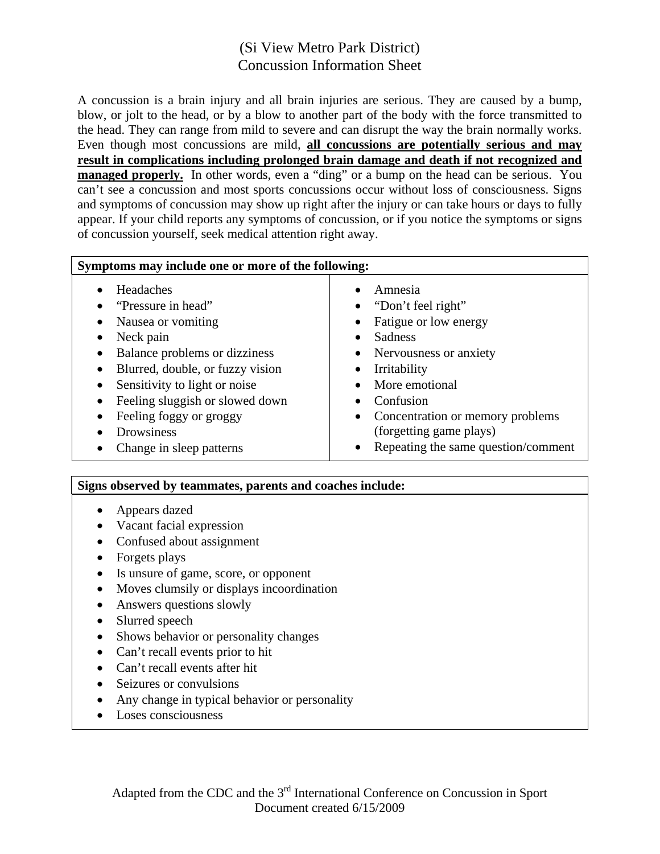# (Si View Metro Park District) Concussion Information Sheet

A concussion is a brain injury and all brain injuries are serious. They are caused by a bump, blow, or jolt to the head, or by a blow to another part of the body with the force transmitted to the head. They can range from mild to severe and can disrupt the way the brain normally works. Even though most concussions are mild, **all concussions are potentially serious and may result in complications including prolonged brain damage and death if not recognized and managed properly.** In other words, even a "ding" or a bump on the head can be serious. You can't see a concussion and most sports concussions occur without loss of consciousness. Signs and symptoms of concussion may show up right after the injury or can take hours or days to fully appear. If your child reports any symptoms of concussion, or if you notice the symptoms or signs of concussion yourself, seek medical attention right away.

| Symptoms may include one or more of the following:                                                                                                                                                                                                                                      |                                                                                                                                                                                                                                                                                                             |  |
|-----------------------------------------------------------------------------------------------------------------------------------------------------------------------------------------------------------------------------------------------------------------------------------------|-------------------------------------------------------------------------------------------------------------------------------------------------------------------------------------------------------------------------------------------------------------------------------------------------------------|--|
| Headaches<br>"Pressure in head"<br>Nausea or vomiting<br>Neck pain<br>Balance problems or dizziness<br>Blurred, double, or fuzzy vision<br>Sensitivity to light or noise<br>Feeling sluggish or slowed down<br>Feeling foggy or groggy<br><b>Drowsiness</b><br>Change in sleep patterns | Amnesia<br>"Don't feel right"<br>Fatigue or low energy<br>$\bullet$<br><b>Sadness</b><br>Nervousness or anxiety<br>Irritability<br>More emotional<br>$\bullet$<br>Confusion<br>Concentration or memory problems<br>$\bullet$<br>(forgetting game plays)<br>Repeating the same question/comment<br>$\bullet$ |  |

### **Signs observed by teammates, parents and coaches include:**

- Appears dazed
- Vacant facial expression
- Confused about assignment
- Forgets plays
- Is unsure of game, score, or opponent
- Moves clumsily or displays incoordination
- Answers questions slowly
- Slurred speech
- Shows behavior or personality changes
- Can't recall events prior to hit
- Can't recall events after hit
- Seizures or convulsions
- Any change in typical behavior or personality
- Loses consciousness